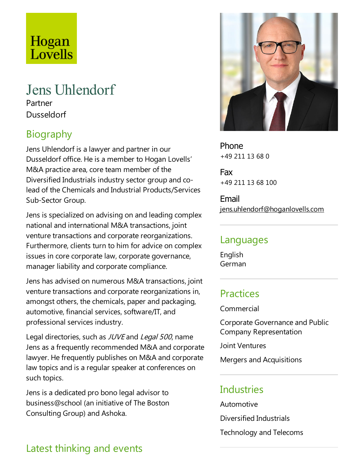# Hogan Lovells

## Jens Uhlendorf

Partner Dusseldorf

## Biography

Jens Uhlendorf is alawyer and partner in our Dusseldorf office. He is a member to Hogan Lovells' M&A practice area, core team member of the Diversified Industrials industry sector group and colead of the Chemicals and Industrial Products/Services Sub-Sector Group.

Jens is specialized on advising on and leading complex national and international M&A transactions, joint venture transactions and corporate reorganizations. Furthermore, clients turn to him for advice on complex issues in core corporate law, corporate governance, manager liability and corporate compliance.

Jens has advised on numerous M&A transactions, joint venture transactions and corporate reorganizations in, amongst others, the chemicals, paper and packaging, automotive, financial services, software/IT, and professional services industry.

Legal directories, such as JUVE and Legal 500, name Jens as afrequently recommended M&A and corporate lawyer. He frequently publishes on M&A and corporate law topics and is a regular speaker at conferences on such topics.

Jens is a dedicated pro bono legal advisor to business@school (an initiative of The Boston Consulting Group) and Ashoka.



Phone +49 211 13 68 0

Fax +49 211 13 68 100

Email jens.uhlendorf@hoganlovells.com

#### Languages

English German

#### **Practices**

Commercial

Corporate Governanceand Public Company Representation

Joint Ventures

Mergers and Acquisitions

#### **Industries**

Automotive Diversified Industrials Technology and Telecoms

## Latest thinking and events